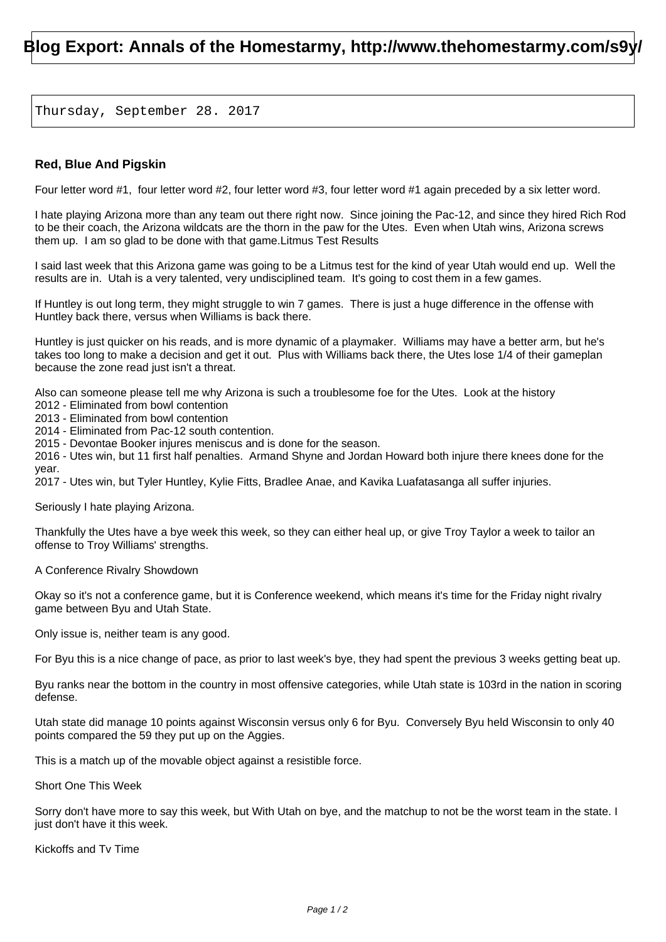## **Blog Export: Annals of the Homestarmy, http://www.thehomestarmy.com/s9y/**

Thursday, September 28. 2017

## **Red, Blue And Pigskin**

Four letter word #1, four letter word #2, four letter word #3, four letter word #1 again preceded by a six letter word.

I hate playing Arizona more than any team out there right now. Since joining the Pac-12, and since they hired Rich Rod to be their coach, the Arizona wildcats are the thorn in the paw for the Utes. Even when Utah wins, Arizona screws them up. I am so glad to be done with that game.Litmus Test Results

I said last week that this Arizona game was going to be a Litmus test for the kind of year Utah would end up. Well the results are in. Utah is a very talented, very undisciplined team. It's going to cost them in a few games.

If Huntley is out long term, they might struggle to win 7 games. There is just a huge difference in the offense with Huntley back there, versus when Williams is back there.

Huntley is just quicker on his reads, and is more dynamic of a playmaker. Williams may have a better arm, but he's takes too long to make a decision and get it out. Plus with Williams back there, the Utes lose 1/4 of their gameplan because the zone read just isn't a threat.

Also can someone please tell me why Arizona is such a troublesome foe for the Utes. Look at the history

2012 - Eliminated from bowl contention 2013 - Eliminated from bowl contention

2014 - Eliminated from Pac-12 south contention.

2015 - Devontae Booker injures meniscus and is done for the season.

2016 - Utes win, but 11 first half penalties. Armand Shyne and Jordan Howard both injure there knees done for the year.

2017 - Utes win, but Tyler Huntley, Kylie Fitts, Bradlee Anae, and Kavika Luafatasanga all suffer injuries.

Seriously I hate playing Arizona.

Thankfully the Utes have a bye week this week, so they can either heal up, or give Troy Taylor a week to tailor an offense to Troy Williams' strengths.

A Conference Rivalry Showdown

Okay so it's not a conference game, but it is Conference weekend, which means it's time for the Friday night rivalry game between Byu and Utah State.

Only issue is, neither team is any good.

For Byu this is a nice change of pace, as prior to last week's bye, they had spent the previous 3 weeks getting beat up.

Byu ranks near the bottom in the country in most offensive categories, while Utah state is 103rd in the nation in scoring defense.

Utah state did manage 10 points against Wisconsin versus only 6 for Byu. Conversely Byu held Wisconsin to only 40 points compared the 59 they put up on the Aggies.

This is a match up of the movable object against a resistible force.

Short One This Week

Sorry don't have more to say this week, but With Utah on bye, and the matchup to not be the worst team in the state. I just don't have it this week.

Kickoffs and Tv Time